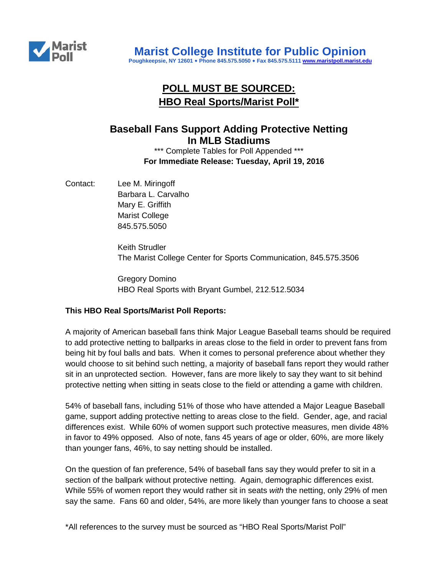

# **POLL MUST BE SOURCED: HBO Real Sports/Marist Poll\***

## **Baseball Fans Support Adding Protective Netting In MLB Stadiums**

\*\*\* Complete Tables for Poll Appended \*\*\* **For Immediate Release: Tuesday, April 19, 2016**

Contact: Lee M. Miringoff Barbara L. Carvalho Mary E. Griffith Marist College 845.575.5050

> Keith Strudler The Marist College Center for Sports Communication, 845.575.3506

Gregory Domino HBO Real Sports with Bryant Gumbel, 212.512.5034

### **This HBO Real Sports/Marist Poll Reports:**

A majority of American baseball fans think Major League Baseball teams should be required to add protective netting to ballparks in areas close to the field in order to prevent fans from being hit by foul balls and bats. When it comes to personal preference about whether they would choose to sit behind such netting, a majority of baseball fans report they would rather sit in an unprotected section. However, fans are more likely to say they want to sit behind protective netting when sitting in seats close to the field or attending a game with children.

54% of baseball fans, including 51% of those who have attended a Major League Baseball game, support adding protective netting to areas close to the field. Gender, age, and racial differences exist. While 60% of women support such protective measures, men divide 48% in favor to 49% opposed. Also of note, fans 45 years of age or older, 60%, are more likely than younger fans, 46%, to say netting should be installed.

On the question of fan preference, 54% of baseball fans say they would prefer to sit in a section of the ballpark without protective netting. Again, demographic differences exist. While 55% of women report they would rather sit in seats *with* the netting, only 29% of men say the same. Fans 60 and older, 54%, are more likely than younger fans to choose a seat

\*All references to the survey must be sourced as "HBO Real Sports/Marist Poll"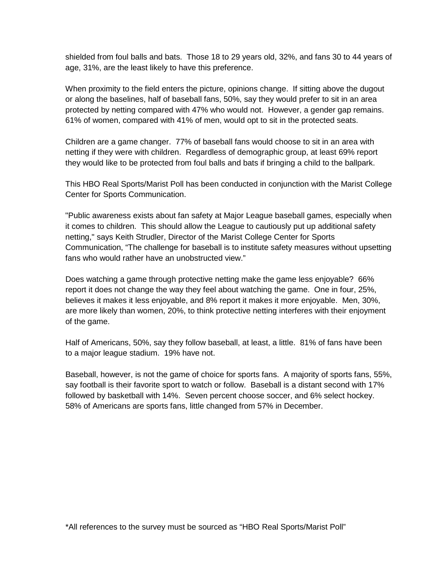shielded from foul balls and bats. Those 18 to 29 years old, 32%, and fans 30 to 44 years of age, 31%, are the least likely to have this preference.

When proximity to the field enters the picture, opinions change. If sitting above the dugout or along the baselines, half of baseball fans, 50%, say they would prefer to sit in an area protected by netting compared with 47% who would not. However, a gender gap remains. 61% of women, compared with 41% of men, would opt to sit in the protected seats.

Children are a game changer. 77% of baseball fans would choose to sit in an area with netting if they were with children. Regardless of demographic group, at least 69% report they would like to be protected from foul balls and bats if bringing a child to the ballpark.

This HBO Real Sports/Marist Poll has been conducted in conjunction with the Marist College Center for Sports Communication.

"Public awareness exists about fan safety at Major League baseball games, especially when it comes to children. This should allow the League to cautiously put up additional safety netting," says Keith Strudler, Director of the Marist College Center for Sports Communication, "The challenge for baseball is to institute safety measures without upsetting fans who would rather have an unobstructed view."

Does watching a game through protective netting make the game less enjoyable? 66% report it does not change the way they feel about watching the game. One in four, 25%, believes it makes it less enjoyable, and 8% report it makes it more enjoyable. Men, 30%, are more likely than women, 20%, to think protective netting interferes with their enjoyment of the game.

Half of Americans, 50%, say they follow baseball, at least, a little. 81% of fans have been to a major league stadium. 19% have not.

Baseball, however, is not the game of choice for sports fans. A majority of sports fans, 55%, say football is their favorite sport to watch or follow. Baseball is a distant second with 17% followed by basketball with 14%. Seven percent choose soccer, and 6% select hockey. 58% of Americans are sports fans, little changed from 57% in December.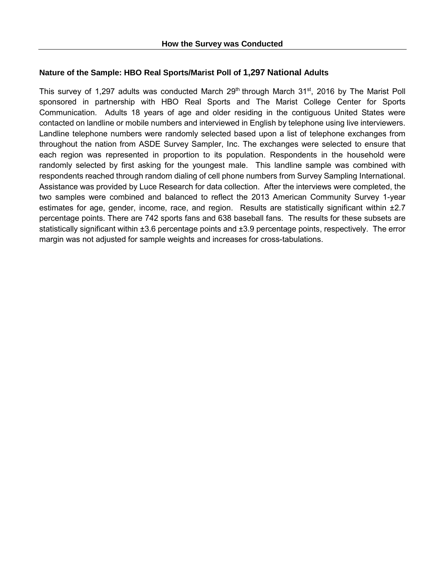#### **Nature of the Sample: HBO Real Sports/Marist Poll of 1,297 National Adults**

This survey of 1,297 adults was conducted March 29<sup>th</sup> through March 31<sup>st</sup>, 2016 by The Marist Poll sponsored in partnership with HBO Real Sports and The Marist College Center for Sports Communication. Adults 18 years of age and older residing in the contiguous United States were contacted on landline or mobile numbers and interviewed in English by telephone using live interviewers. Landline telephone numbers were randomly selected based upon a list of telephone exchanges from throughout the nation from ASDE Survey Sampler, Inc. The exchanges were selected to ensure that each region was represented in proportion to its population. Respondents in the household were randomly selected by first asking for the youngest male. This landline sample was combined with respondents reached through random dialing of cell phone numbers from Survey Sampling International. Assistance was provided by Luce Research for data collection. After the interviews were completed, the two samples were combined and balanced to reflect the 2013 American Community Survey 1-year estimates for age, gender, income, race, and region. Results are statistically significant within  $\pm 2.7$ percentage points. There are 742 sports fans and 638 baseball fans. The results for these subsets are statistically significant within ±3.6 percentage points and ±3.9 percentage points, respectively. The error margin was not adjusted for sample weights and increases for cross-tabulations.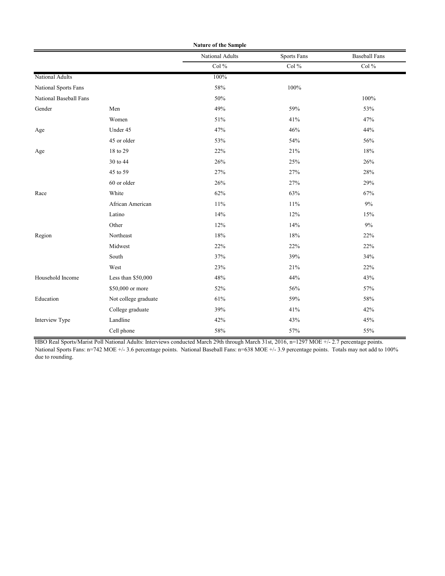| Nature of the Sample   |                      |                 |                    |                      |  |
|------------------------|----------------------|-----------------|--------------------|----------------------|--|
|                        |                      | National Adults | <b>Sports Fans</b> | <b>Baseball Fans</b> |  |
|                        |                      | Col%            | Col $\%$           | Col $\%$             |  |
| National Adults        |                      | 100%            |                    |                      |  |
| National Sports Fans   |                      | 58%             | $100\%$            |                      |  |
| National Baseball Fans |                      | 50%             |                    | 100%                 |  |
| Gender                 | Men                  | 49%             | 59%                | 53%                  |  |
|                        | Women                | 51%             | 41%                | 47%                  |  |
| Age                    | Under 45             | 47%             | 46%                | 44%                  |  |
|                        | 45 or older          | 53%             | 54%                | 56%                  |  |
| Age                    | 18 to 29             | 22%             | 21%                | 18%                  |  |
|                        | 30 to 44             | 26%             | 25%                | 26%                  |  |
|                        | 45 to 59             | 27%             | 27%                | 28%                  |  |
|                        | 60 or older          | 26%             | 27%                | 29%                  |  |
| Race                   | White                | 62%             | 63%                | 67%                  |  |
|                        | African American     | 11%             | 11%                | 9%                   |  |
|                        | Latino               | 14%             | 12%                | 15%                  |  |
|                        | Other                | 12%             | 14%                | 9%                   |  |
| Region                 | Northeast            | 18%             | 18%                | 22%                  |  |
|                        | Midwest              | 22%             | 22%                | 22%                  |  |
|                        | South                | 37%             | 39%                | 34%                  |  |
|                        | West                 | 23%             | 21%                | 22%                  |  |
| Household Income       | Less than \$50,000   | 48%             | 44%                | 43%                  |  |
|                        | \$50,000 or more     | 52%             | 56%                | 57%                  |  |
| Education              | Not college graduate | 61%             | 59%                | 58%                  |  |
|                        | College graduate     | 39%             | 41%                | 42%                  |  |
| Interview Type         | Landline             | 42%             | 43%                | 45%                  |  |
|                        | Cell phone           | 58%             | 57%                | 55%                  |  |

HBO Real Sports/Marist Poll National Adults: Interviews conducted March 29th through March 31st, 2016, n=1297 MOE +/- 2.7 percentage points. National Sports Fans: n=742 MOE +/- 3.6 percentage points. National Baseball Fans: n=638 MOE +/- 3.9 percentage points. Totals may not add to 100% due to rounding.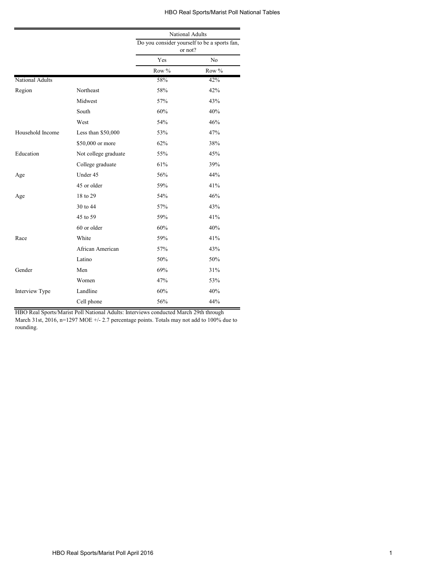#### HBO Real Sports/Marist Poll National Tables

|                  |                      | National Adults                                         |       |  |
|------------------|----------------------|---------------------------------------------------------|-------|--|
|                  |                      | Do you consider yourself to be a sports fan,<br>or not? |       |  |
|                  |                      | Yes                                                     | No    |  |
|                  |                      | Row %                                                   | Row % |  |
| National Adults  |                      | 58%                                                     | 42%   |  |
| Region           | Northeast            | 58%                                                     | 42%   |  |
|                  | Midwest              | 57%                                                     | 43%   |  |
|                  | South                | 60%                                                     | 40%   |  |
|                  | West                 | 54%                                                     | 46%   |  |
| Household Income | Less than \$50,000   | 53%                                                     | 47%   |  |
|                  | \$50,000 or more     | 62%                                                     | 38%   |  |
| Education        | Not college graduate | 55%                                                     | 45%   |  |
|                  | College graduate     | 61%                                                     | 39%   |  |
| Age              | Under 45             | 56%                                                     | 44%   |  |
|                  | 45 or older          | 59%                                                     | 41%   |  |
| Age              | 18 to 29             | 54%                                                     | 46%   |  |
|                  | 30 to 44             | 57%                                                     | 43%   |  |
|                  | 45 to 59             | 59%                                                     | 41%   |  |
|                  | 60 or older          | 60%                                                     | 40%   |  |
| Race             | White                | 59%                                                     | 41%   |  |
|                  | African American     | 57%                                                     | 43%   |  |
|                  | Latino               | 50%                                                     | 50%   |  |
| Gender           | Men                  | 69%                                                     | 31%   |  |
|                  | Women                | 47%                                                     | 53%   |  |
| Interview Type   | Landline             | 60%                                                     | 40%   |  |
|                  | Cell phone           | 56%                                                     | 44%   |  |

HBO Real Sports/Marist Poll National Adults: Interviews conducted March 29th through

March 31st, 2016, n=1297 MOE +/- 2.7 percentage points. Totals may not add to 100% due to rounding.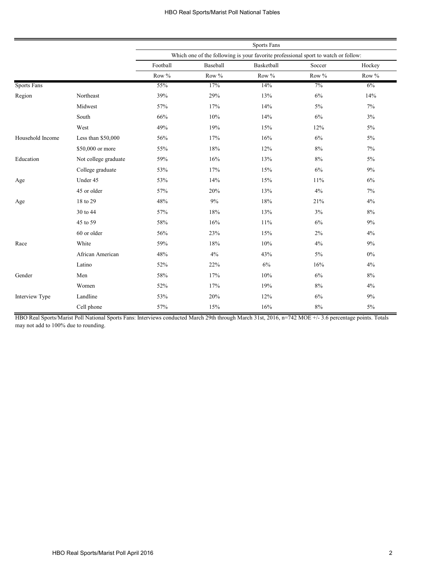|                    |                      | <b>Sports Fans</b> |          |                                                                                    |        |        |
|--------------------|----------------------|--------------------|----------|------------------------------------------------------------------------------------|--------|--------|
|                    |                      |                    |          | Which one of the following is your favorite professional sport to watch or follow: |        |        |
|                    |                      | Football           | Baseball | Basketball                                                                         | Soccer | Hockey |
|                    |                      | Row $\%$           | Row $\%$ | Row $\%$                                                                           | Row %  | Row %  |
| <b>Sports Fans</b> |                      | 55%                | 17%      | 14%                                                                                | 7%     | $6\%$  |
| Region             | Northeast            | 39%                | 29%      | 13%                                                                                | $6\%$  | 14%    |
|                    | Midwest              | 57%                | 17%      | 14%                                                                                | $5\%$  | 7%     |
|                    | South                | 66%                | 10%      | 14%                                                                                | 6%     | 3%     |
|                    | West                 | 49%                | 19%      | 15%                                                                                | 12%    | $5\%$  |
| Household Income   | Less than \$50,000   | 56%                | 17%      | 16%                                                                                | 6%     | 5%     |
|                    | \$50,000 or more     | 55%                | 18%      | 12%                                                                                | 8%     | 7%     |
| Education          | Not college graduate | 59%                | 16%      | 13%                                                                                | 8%     | 5%     |
|                    | College graduate     | 53%                | 17%      | 15%                                                                                | 6%     | 9%     |
| Age                | Under 45             | 53%                | 14%      | 15%                                                                                | 11%    | 6%     |
|                    | 45 or older          | 57%                | 20%      | 13%                                                                                | 4%     | 7%     |
| Age                | 18 to 29             | 48%                | 9%       | 18%                                                                                | 21%    | 4%     |
|                    | 30 to 44             | 57%                | 18%      | 13%                                                                                | 3%     | 8%     |
|                    | 45 to 59             | 58%                | 16%      | 11%                                                                                | 6%     | 9%     |
|                    | 60 or older          | 56%                | 23%      | 15%                                                                                | $2\%$  | 4%     |
| Race               | White                | 59%                | 18%      | 10%                                                                                | 4%     | 9%     |
|                    | African American     | 48%                | 4%       | 43%                                                                                | 5%     | $0\%$  |
|                    | Latino               | 52%                | 22%      | 6%                                                                                 | 16%    | 4%     |
| Gender             | Men                  | $58\%$             | 17%      | 10%                                                                                | 6%     | $8\%$  |
|                    | Women                | 52%                | 17%      | 19%                                                                                | 8%     | 4%     |
| Interview Type     | Landline             | 53%                | 20%      | 12%                                                                                | 6%     | 9%     |
|                    | Cell phone           | 57%                | 15%      | 16%                                                                                | 8%     | 5%     |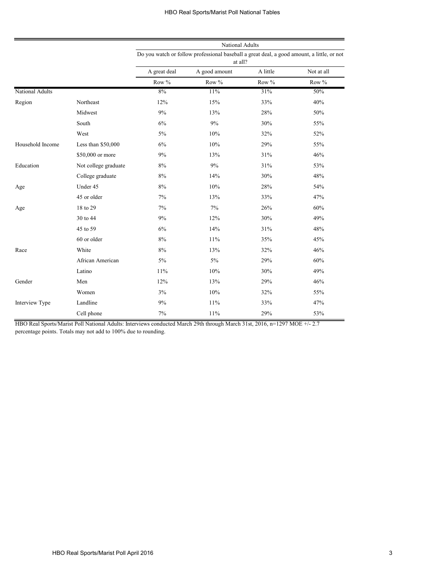|                  |                      |              | National Adults                                                                                       |          |            |
|------------------|----------------------|--------------|-------------------------------------------------------------------------------------------------------|----------|------------|
|                  |                      |              | Do you watch or follow professional baseball a great deal, a good amount, a little, or not<br>at all? |          |            |
|                  |                      | A great deal | A good amount                                                                                         | A little | Not at all |
|                  |                      | Row %        | Row %                                                                                                 | Row %    | Row %      |
| National Adults  |                      | 8%           | 11%                                                                                                   | 31%      | 50%        |
| Region           | Northeast            | 12%          | 15%                                                                                                   | 33%      | 40%        |
|                  | Midwest              | 9%           | 13%                                                                                                   | 28%      | 50%        |
|                  | South                | 6%           | 9%                                                                                                    | 30%      | 55%        |
|                  | West                 | $5\%$        | 10%                                                                                                   | 32%      | 52%        |
| Household Income | Less than \$50,000   | 6%           | 10%                                                                                                   | 29%      | 55%        |
|                  | \$50,000 or more     | 9%           | 13%                                                                                                   | 31%      | 46%        |
| Education        | Not college graduate | 8%           | 9%                                                                                                    | 31%      | 53%        |
|                  | College graduate     | 8%           | 14%                                                                                                   | 30%      | 48%        |
| Age              | Under 45             | $8\%$        | 10%                                                                                                   | 28%      | 54%        |
|                  | 45 or older          | 7%           | 13%                                                                                                   | 33%      | 47%        |
| Age              | 18 to 29             | 7%           | 7%                                                                                                    | 26%      | 60%        |
|                  | 30 to 44             | 9%           | 12%                                                                                                   | 30%      | 49%        |
|                  | 45 to 59             | 6%           | 14%                                                                                                   | 31%      | 48%        |
|                  | 60 or older          | 8%           | 11%                                                                                                   | 35%      | 45%        |
| Race             | White                | $8\%$        | 13%                                                                                                   | 32%      | 46%        |
|                  | African American     | 5%           | 5%                                                                                                    | 29%      | 60%        |
|                  | Latino               | 11%          | 10%                                                                                                   | 30%      | 49%        |
| Gender           | Men                  | 12%          | 13%                                                                                                   | 29%      | 46%        |
|                  | Women                | 3%           | 10%                                                                                                   | 32%      | 55%        |
| Interview Type   | Landline             | 9%           | 11%                                                                                                   | 33%      | 47%        |
|                  | Cell phone           | 7%           | 11%                                                                                                   | 29%      | 53%        |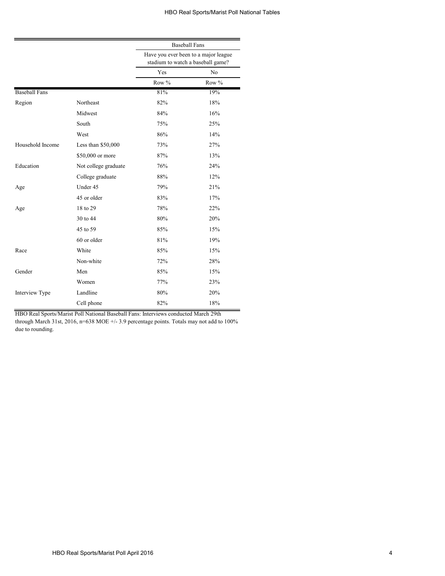|                      |                      | <b>Baseball Fans</b>                                                      |       |  |
|----------------------|----------------------|---------------------------------------------------------------------------|-------|--|
|                      |                      | Have you ever been to a major league<br>stadium to watch a baseball game? |       |  |
|                      |                      | Yes                                                                       | No    |  |
|                      |                      | Row %                                                                     | Row % |  |
| <b>Baseball Fans</b> |                      | 81%                                                                       | 19%   |  |
| Region               | Northeast            | 82%                                                                       | 18%   |  |
|                      | Midwest              | 84%                                                                       | 16%   |  |
|                      | South                | 75%                                                                       | 25%   |  |
|                      | West                 | 86%                                                                       | 14%   |  |
| Household Income     | Less than \$50,000   | 73%                                                                       | 27%   |  |
|                      | \$50,000 or more     | 87%                                                                       | 13%   |  |
| Education            | Not college graduate | 76%                                                                       | 24%   |  |
|                      | College graduate     | 88%                                                                       | 12%   |  |
| Age                  | Under 45             | 79%                                                                       | 21%   |  |
|                      | 45 or older          | 83%                                                                       | 17%   |  |
| Age                  | 18 to 29             | 78%                                                                       | 22%   |  |
|                      | 30 to 44             | 80%                                                                       | 20%   |  |
|                      | 45 to 59             | 85%                                                                       | 15%   |  |
|                      | 60 or older          | 81%                                                                       | 19%   |  |
| Race                 | White                | 85%                                                                       | 15%   |  |
|                      | Non-white            | 72%                                                                       | 28%   |  |
| Gender               | Men                  | 85%                                                                       | 15%   |  |
|                      | Women                | 77%                                                                       | 23%   |  |
| Interview Type       | Landline             | 80%                                                                       | 20%   |  |
|                      | Cell phone           | 82%                                                                       | 18%   |  |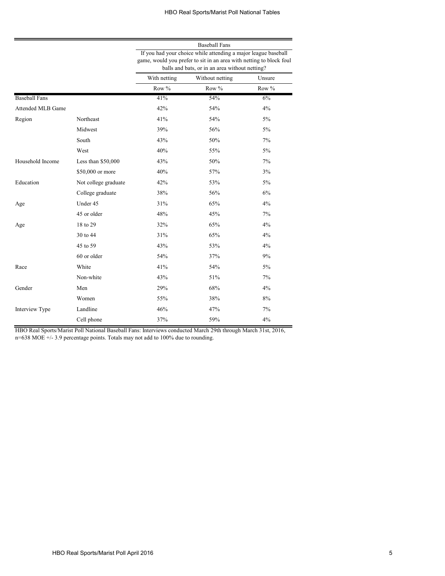|                      |                      |                                                                                                                                                                                         | <b>Baseball Fans</b> |        |  |  |
|----------------------|----------------------|-----------------------------------------------------------------------------------------------------------------------------------------------------------------------------------------|----------------------|--------|--|--|
|                      |                      | If you had your choice while attending a major league baseball<br>game, would you prefer to sit in an area with netting to block foul<br>balls and bats, or in an area without netting? |                      |        |  |  |
|                      |                      | With netting                                                                                                                                                                            | Without netting      | Unsure |  |  |
|                      |                      | Row %                                                                                                                                                                                   | Row %                | Row %  |  |  |
| <b>Baseball Fans</b> |                      | 41%                                                                                                                                                                                     | 54%                  | 6%     |  |  |
| Attended MLB Game    |                      | 42%                                                                                                                                                                                     | 54%                  | 4%     |  |  |
| Region               | Northeast            | 41%                                                                                                                                                                                     | 54%                  | 5%     |  |  |
|                      | Midwest              | 39%                                                                                                                                                                                     | 56%                  | 5%     |  |  |
|                      | South                | 43%                                                                                                                                                                                     | 50%                  | 7%     |  |  |
|                      | West                 | 40%                                                                                                                                                                                     | 55%                  | 5%     |  |  |
| Household Income     | Less than \$50,000   | 43%                                                                                                                                                                                     | 50%                  | 7%     |  |  |
|                      | \$50,000 or more     | 40%                                                                                                                                                                                     | 57%                  | 3%     |  |  |
| Education            | Not college graduate | 42%                                                                                                                                                                                     | 53%                  | $5\%$  |  |  |
|                      | College graduate     | 38%                                                                                                                                                                                     | 56%                  | 6%     |  |  |
| Age                  | Under 45             | 31%                                                                                                                                                                                     | 65%                  | 4%     |  |  |
|                      | 45 or older          | 48%                                                                                                                                                                                     | 45%                  | 7%     |  |  |
| Age                  | 18 to 29             | 32%                                                                                                                                                                                     | 65%                  | 4%     |  |  |
|                      | 30 to 44             | 31%                                                                                                                                                                                     | 65%                  | 4%     |  |  |
|                      | 45 to 59             | 43%                                                                                                                                                                                     | 53%                  | 4%     |  |  |
|                      | 60 or older          | 54%                                                                                                                                                                                     | 37%                  | 9%     |  |  |
| Race                 | White                | 41%                                                                                                                                                                                     | 54%                  | 5%     |  |  |
|                      | Non-white            | 43%                                                                                                                                                                                     | 51%                  | 7%     |  |  |
| Gender               | Men                  | 29%                                                                                                                                                                                     | 68%                  | 4%     |  |  |
|                      | Women                | 55%                                                                                                                                                                                     | 38%                  | 8%     |  |  |
| Interview Type       | Landline             | 46%                                                                                                                                                                                     | 47%                  | 7%     |  |  |
|                      | Cell phone           | 37%                                                                                                                                                                                     | 59%                  | 4%     |  |  |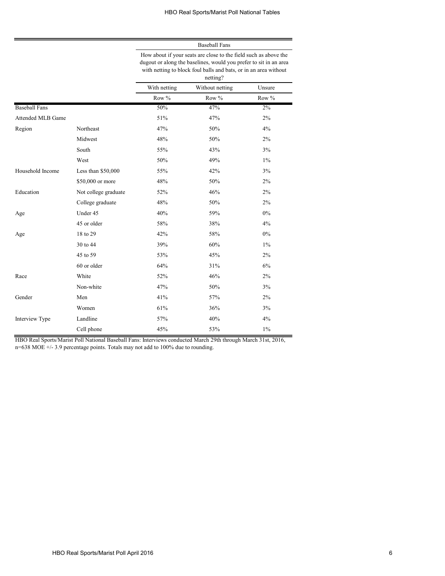|                      |                      | <b>Baseball Fans</b><br>How about if your seats are close to the field such as above the<br>dugout or along the baselines, would you prefer to sit in an area<br>with netting to block foul balls and bats, or in an area without<br>netting? |                 |        |  |  |
|----------------------|----------------------|-----------------------------------------------------------------------------------------------------------------------------------------------------------------------------------------------------------------------------------------------|-----------------|--------|--|--|
|                      |                      |                                                                                                                                                                                                                                               |                 |        |  |  |
|                      |                      | With netting                                                                                                                                                                                                                                  | Without netting | Unsure |  |  |
|                      |                      | Row %                                                                                                                                                                                                                                         | Row %           | Row %  |  |  |
| <b>Baseball Fans</b> |                      | 50%                                                                                                                                                                                                                                           | 47%             | 2%     |  |  |
| Attended MLB Game    |                      | 51%                                                                                                                                                                                                                                           | 47%             | 2%     |  |  |
| Region               | Northeast            | 47%                                                                                                                                                                                                                                           | 50%             | 4%     |  |  |
|                      | Midwest              | 48%                                                                                                                                                                                                                                           | 50%             | 2%     |  |  |
|                      | South                | 55%                                                                                                                                                                                                                                           | 43%             | 3%     |  |  |
|                      | West                 | 50%                                                                                                                                                                                                                                           | 49%             | $1\%$  |  |  |
| Household Income     | Less than $$50,000$  | 55%                                                                                                                                                                                                                                           | 42%             | 3%     |  |  |
|                      | \$50,000 or more     | 48%                                                                                                                                                                                                                                           | 50%             | 2%     |  |  |
| Education            | Not college graduate | 52%                                                                                                                                                                                                                                           | 46%             | 2%     |  |  |
|                      | College graduate     | 48%                                                                                                                                                                                                                                           | 50%             | 2%     |  |  |
| Age                  | Under 45             | 40%                                                                                                                                                                                                                                           | 59%             | 0%     |  |  |
|                      | 45 or older          | 58%                                                                                                                                                                                                                                           | 38%             | 4%     |  |  |
| Age                  | 18 to 29             | 42%                                                                                                                                                                                                                                           | 58%             | 0%     |  |  |
|                      | 30 to 44             | 39%                                                                                                                                                                                                                                           | 60%             | $1\%$  |  |  |
|                      | 45 to 59             | 53%                                                                                                                                                                                                                                           | 45%             | 2%     |  |  |
|                      | 60 or older          | 64%                                                                                                                                                                                                                                           | 31%             | 6%     |  |  |
| Race                 | White                | 52%                                                                                                                                                                                                                                           | 46%             | 2%     |  |  |
|                      | Non-white            | 47%                                                                                                                                                                                                                                           | 50%             | 3%     |  |  |
| Gender               | Men                  | 41%                                                                                                                                                                                                                                           | 57%             | 2%     |  |  |
|                      | Women                | 61%                                                                                                                                                                                                                                           | 36%             | 3%     |  |  |
| Interview Type       | Landline             | 57%                                                                                                                                                                                                                                           | 40%             | 4%     |  |  |
|                      | Cell phone           | 45%                                                                                                                                                                                                                                           | 53%             | $1\%$  |  |  |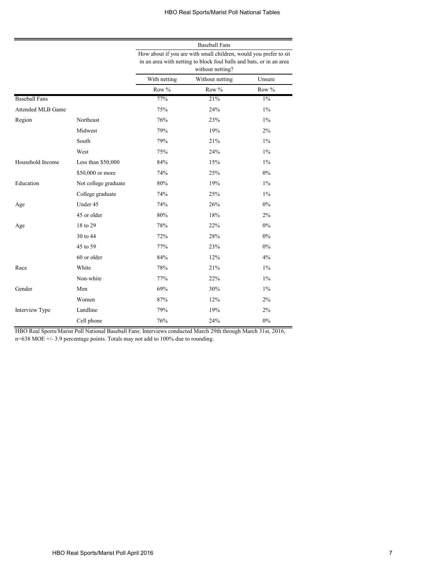|                      |                      | <b>Baseball Fans</b>                                                                                                                                         |                 |         |  |
|----------------------|----------------------|--------------------------------------------------------------------------------------------------------------------------------------------------------------|-----------------|---------|--|
|                      |                      | How about if you are with small children, would you prefer to sit<br>in an area with netting to block foul balls and bats, or in an area<br>without netting? |                 |         |  |
|                      |                      | With netting                                                                                                                                                 | Without netting | Unsure  |  |
|                      |                      | Row %                                                                                                                                                        | Row %           | Row $%$ |  |
| <b>Baseball Fans</b> |                      | 77%                                                                                                                                                          | 21%             | $1\%$   |  |
| Attended MLB Game    |                      | 75%                                                                                                                                                          | 24%             | $1\%$   |  |
| Region               | Northeast            | 76%                                                                                                                                                          | 23%             | 1%      |  |
|                      | Midwest              | 79%                                                                                                                                                          | 19%             | 2%      |  |
|                      | South                | 79%                                                                                                                                                          | 21%             | $1\%$   |  |
|                      | West                 | 75%                                                                                                                                                          | 24%             | $1\%$   |  |
| Household Income     | Less than \$50,000   | 84%                                                                                                                                                          | 15%             | 1%      |  |
|                      | \$50,000 or more     | 74%                                                                                                                                                          | 25%             | $0\%$   |  |
| Education            | Not college graduate | 80%                                                                                                                                                          | 19%             | $1\%$   |  |
|                      | College graduate     | 74%                                                                                                                                                          | 25%             | 1%      |  |
| Age                  | Under 45             | 74%                                                                                                                                                          | 26%             | $0\%$   |  |
|                      | 45 or older          | 80%                                                                                                                                                          | 18%             | 2%      |  |
| Age                  | 18 to 29             | 78%                                                                                                                                                          | 22%             | 0%      |  |
|                      | 30 to 44             | 72%                                                                                                                                                          | 28%             | 0%      |  |
|                      | 45 to 59             | 77%                                                                                                                                                          | 23%             | $0\%$   |  |
|                      | 60 or older          | 84%                                                                                                                                                          | 12%             | 4%      |  |
| Race                 | White                | 78%                                                                                                                                                          | 21%             | 1%      |  |
|                      | Non-white            | 77%                                                                                                                                                          | 22%             | $1\%$   |  |
| Gender               | Men                  | 69%                                                                                                                                                          | 30%             | $1\%$   |  |
|                      | Women                | 87%                                                                                                                                                          | 12%             | 2%      |  |
| Interview Type       | Landline             | 79%                                                                                                                                                          | 19%             | 2%      |  |
|                      | Cell phone           | 76%                                                                                                                                                          | 24%             | $0\%$   |  |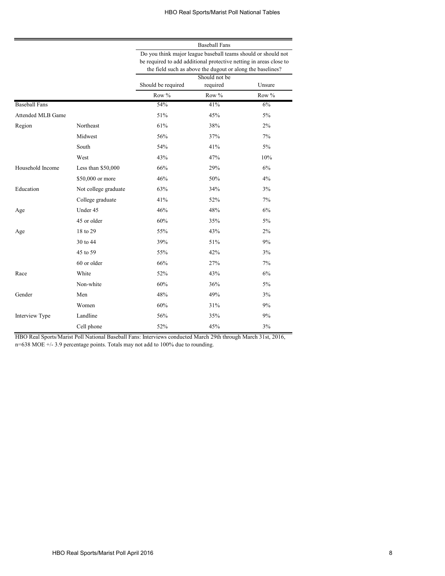|                      |                      | <b>Baseball Fans</b>                                                                                                                                                                              |                           |         |  |  |
|----------------------|----------------------|---------------------------------------------------------------------------------------------------------------------------------------------------------------------------------------------------|---------------------------|---------|--|--|
|                      |                      | Do you think major league baseball teams should or should not<br>be required to add additional protective netting in areas close to<br>the field such as above the dugout or along the baselines? |                           |         |  |  |
|                      |                      | Should be required                                                                                                                                                                                | Should not be<br>required | Unsure  |  |  |
|                      |                      | Row $%$                                                                                                                                                                                           | Row $%$                   | Row $%$ |  |  |
| <b>Baseball Fans</b> |                      | 54%                                                                                                                                                                                               | 41%                       | 6%      |  |  |
| Attended MLB Game    |                      | 51%                                                                                                                                                                                               | 45%                       | 5%      |  |  |
| Region               | Northeast            | 61%                                                                                                                                                                                               | 38%                       | 2%      |  |  |
|                      | Midwest              | 56%                                                                                                                                                                                               | 37%                       | 7%      |  |  |
|                      | South                | 54%                                                                                                                                                                                               | 41%                       | $5\%$   |  |  |
|                      | West                 | 43%                                                                                                                                                                                               | 47%                       | 10%     |  |  |
| Household Income     | Less than $$50,000$  | 66%                                                                                                                                                                                               | 29%                       | 6%      |  |  |
|                      | \$50,000 or more     | 46%                                                                                                                                                                                               | 50%                       | 4%      |  |  |
| Education            | Not college graduate | 63%                                                                                                                                                                                               | 34%                       | 3%      |  |  |
|                      | College graduate     | 41%                                                                                                                                                                                               | 52%                       | 7%      |  |  |
| Age                  | Under 45             | 46%                                                                                                                                                                                               | 48%                       | 6%      |  |  |
|                      | 45 or older          | 60%                                                                                                                                                                                               | 35%                       | 5%      |  |  |
| Age                  | 18 to 29             | 55%                                                                                                                                                                                               | 43%                       | 2%      |  |  |
|                      | 30 to 44             | 39%                                                                                                                                                                                               | 51%                       | 9%      |  |  |
|                      | 45 to 59             | 55%                                                                                                                                                                                               | 42%                       | 3%      |  |  |
|                      | 60 or older          | 66%                                                                                                                                                                                               | 27%                       | 7%      |  |  |
| Race                 | White                | 52%                                                                                                                                                                                               | 43%                       | 6%      |  |  |
|                      | Non-white            | 60%                                                                                                                                                                                               | 36%                       | 5%      |  |  |
| Gender               | Men                  | 48%                                                                                                                                                                                               | 49%                       | 3%      |  |  |
|                      | Women                | 60%                                                                                                                                                                                               | 31%                       | 9%      |  |  |
| Interview Type       | Landline             | 56%                                                                                                                                                                                               | 35%                       | 9%      |  |  |
|                      | Cell phone           | 52%                                                                                                                                                                                               | 45%                       | 3%      |  |  |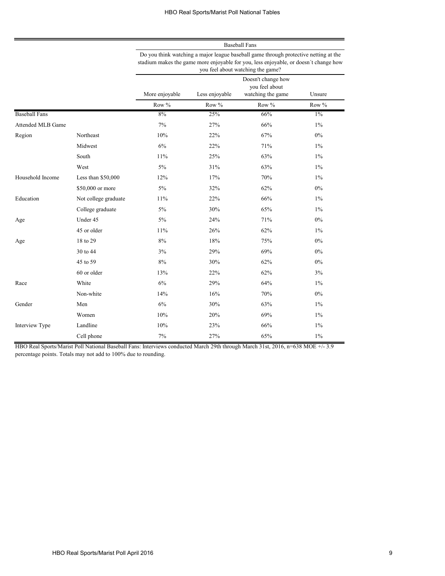Baseball Fans Do you think watching a major league baseball game through protective netting at the

|                      |                      | stadium makes the game more enjoyable for you, less enjoyable, or doesn't change how<br>you feel about watching the game? |                |                                                           |        |  |
|----------------------|----------------------|---------------------------------------------------------------------------------------------------------------------------|----------------|-----------------------------------------------------------|--------|--|
|                      |                      | More enjoyable                                                                                                            | Less enjoyable | Doesn't change how<br>you feel about<br>watching the game | Unsure |  |
|                      |                      | Row %                                                                                                                     | Row %          | Row %                                                     | Row %  |  |
| <b>Baseball Fans</b> |                      | 8%                                                                                                                        | 25%            | 66%                                                       | $1\%$  |  |
| Attended MLB Game    |                      | 7%                                                                                                                        | 27%            | 66%                                                       | $1\%$  |  |
| Region               | Northeast            | 10%                                                                                                                       | 22%            | 67%                                                       | $0\%$  |  |
|                      | Midwest              | 6%                                                                                                                        | 22%            | 71%                                                       | $1\%$  |  |
|                      | South                | 11%                                                                                                                       | 25%            | 63%                                                       | $1\%$  |  |
|                      | West                 | $5\%$                                                                                                                     | 31%            | 63%                                                       | $1\%$  |  |
| Household Income     | Less than \$50,000   | 12%                                                                                                                       | 17%            | 70%                                                       | $1\%$  |  |
|                      | \$50,000 or more     | 5%                                                                                                                        | 32%            | 62%                                                       | $0\%$  |  |
| Education            | Not college graduate | 11%                                                                                                                       | 22%            | 66%                                                       | $1\%$  |  |
|                      | College graduate     | $5\%$                                                                                                                     | 30%            | 65%                                                       | $1\%$  |  |
| Age                  | Under 45             | 5%                                                                                                                        | 24%            | 71%                                                       | $0\%$  |  |
|                      | 45 or older          | 11%                                                                                                                       | 26%            | 62%                                                       | $1\%$  |  |
| Age                  | 18 to 29             | 8%                                                                                                                        | 18%            | 75%                                                       | 0%     |  |
|                      | 30 to 44             | 3%                                                                                                                        | 29%            | 69%                                                       | 0%     |  |
|                      | 45 to 59             | 8%                                                                                                                        | 30%            | 62%                                                       | $0\%$  |  |
|                      | 60 or older          | 13%                                                                                                                       | 22%            | 62%                                                       | 3%     |  |
| Race                 | White                | 6%                                                                                                                        | 29%            | 64%                                                       | $1\%$  |  |
|                      | Non-white            | 14%                                                                                                                       | 16%            | 70%                                                       | $0\%$  |  |
| Gender               | Men                  | 6%                                                                                                                        | 30%            | 63%                                                       | $1\%$  |  |
|                      | Women                | 10%                                                                                                                       | 20%            | 69%                                                       | $1\%$  |  |
| Interview Type       | Landline             | 10%                                                                                                                       | 23%            | 66%                                                       | $1\%$  |  |
|                      | Cell phone           | 7%                                                                                                                        | 27%            | 65%                                                       | $1\%$  |  |